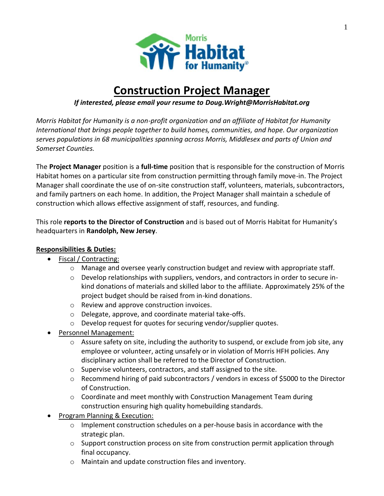

# **Construction Project Manager**

## *If interested, please email your resume to Doug.Wright@MorrisHabitat.org*

*Morris Habitat for Humanity is a non-profit organization and an affiliate of Habitat for Humanity International that brings people together to build homes, communities, and hope. Our organization serves populations in 68 municipalities spanning across Morris, Middlesex and parts of Union and Somerset Counties.*

The **Project Manager** position is a **full-time** position that is responsible for the construction of Morris Habitat homes on a particular site from construction permitting through family move-in. The Project Manager shall coordinate the use of on-site construction staff, volunteers, materials, subcontractors, and family partners on each home. In addition, the Project Manager shall maintain a schedule of construction which allows effective assignment of staff, resources, and funding.

This role **reports to the Director of Construction** and is based out of Morris Habitat for Humanity's headquarters in **Randolph, New Jersey**.

### **Responsibilities & Duties:**

- Fiscal / Contracting:
	- o Manage and oversee yearly construction budget and review with appropriate staff.
	- $\circ$  Develop relationships with suppliers, vendors, and contractors in order to secure inkind donations of materials and skilled labor to the affiliate. Approximately 25% of the project budget should be raised from in-kind donations.
	- o Review and approve construction invoices.
	- o Delegate, approve, and coordinate material take-offs.
	- o Develop request for quotes for securing vendor/supplier quotes.
- Personnel Management:
	- $\circ$  Assure safety on site, including the authority to suspend, or exclude from job site, any employee or volunteer, acting unsafely or in violation of Morris HFH policies. Any disciplinary action shall be referred to the Director of Construction.
	- o Supervise volunteers, contractors, and staff assigned to the site.
	- o Recommend hiring of paid subcontractors / vendors in excess of \$5000 to the Director of Construction.
	- $\circ$  Coordinate and meet monthly with Construction Management Team during construction ensuring high quality homebuilding standards.
- Program Planning & Execution:
	- $\circ$  Implement construction schedules on a per-house basis in accordance with the strategic plan.
	- $\circ$  Support construction process on site from construction permit application through final occupancy.
	- o Maintain and update construction files and inventory.